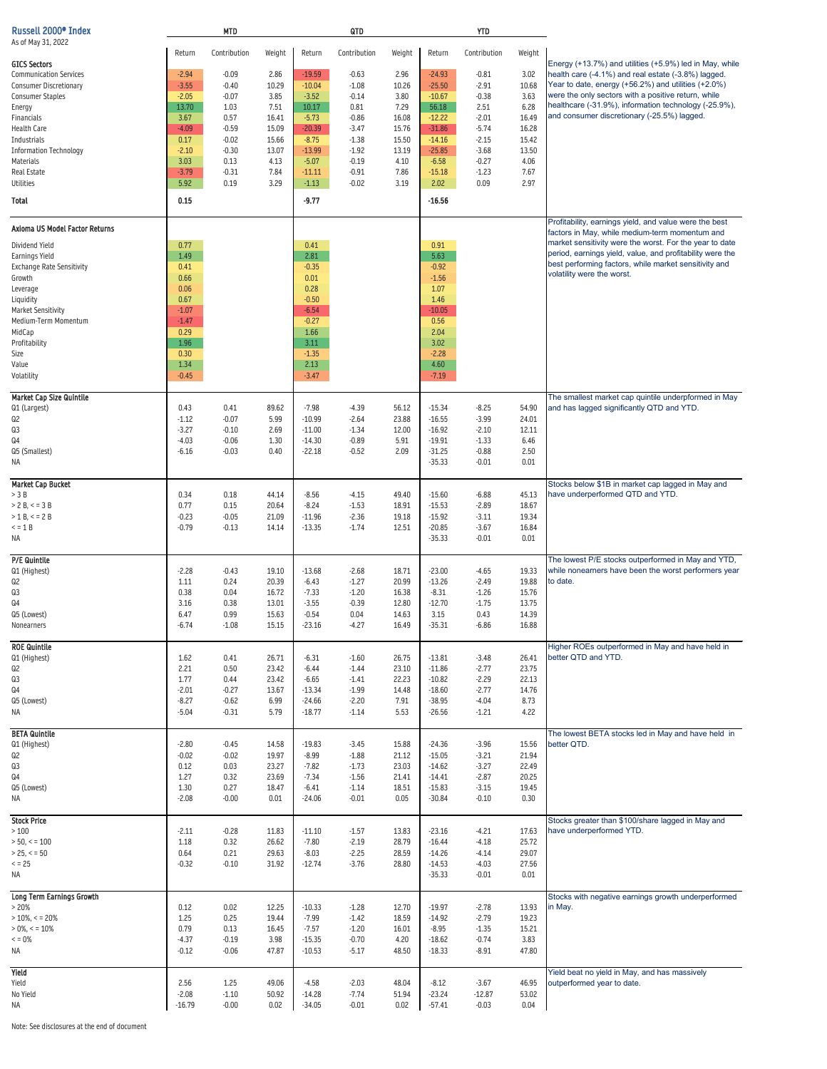| Russell 2000 <sup>®</sup> Index                          |                    | <b>MTD</b>         |                |                      | QTD                |                |                      | <b>YTD</b>         |                |                                                                                                                      |
|----------------------------------------------------------|--------------------|--------------------|----------------|----------------------|--------------------|----------------|----------------------|--------------------|----------------|----------------------------------------------------------------------------------------------------------------------|
| As of May 31, 2022                                       | Return             | Contribution       | Weight         | Return               | Contribution       | Weight         | Return               | Contribution       | Weight         |                                                                                                                      |
| <b>GICS Sectors</b>                                      |                    |                    |                |                      |                    |                |                      |                    |                | Energy (+13.7%) and utilities (+5.9%) led in May, while                                                              |
| <b>Communication Services</b>                            | $-2.94$            | $-0.09$            | 2.86           | $-19.59$<br>$-10.04$ | $-0.63$            | 2.96           | $-24.93$             | $-0.81$            | 3.02           | health care (-4.1%) and real estate (-3.8%) lagged.<br>Year to date, energy (+56.2%) and utilities (+2.0%)           |
| <b>Consumer Discretionary</b><br><b>Consumer Staples</b> | $-3.55$<br>$-2.05$ | $-0.40$<br>$-0.07$ | 10.29<br>3.85  | $-3.52$              | $-1.08$<br>$-0.14$ | 10.26<br>3.80  | $-25.50$<br>$-10.67$ | $-2.91$<br>$-0.38$ | 10.68<br>3.63  | were the only sectors with a positive return, while                                                                  |
| Energy                                                   | 13.70              | 1.03               | 7.51           | 10.17                | 0.81               | 7.29           | 56.18                | 2.51               | 6.28           | healthcare (-31.9%), information technology (-25.9%),                                                                |
| Financials                                               | 3.67               | 0.57               | 16.41          | $-5.73$              | $-0.86$            | 16.08          | $-12.22$             | $-2.01$            | 16.49          | and consumer discretionary (-25.5%) lagged.                                                                          |
| <b>Health Care</b>                                       | $-4.09$            | $-0.59$            | 15.09          | $-20.39$             | $-3.47$            | 15.76          | $-31.86$             | $-5.74$            | 16.28          |                                                                                                                      |
| Industrials                                              | 0.17               | $-0.02$            | 15.66          | $-8.75$              | $-1.38$            | 15.50          | $-14.16$             | $-2.15$            | 15.42          |                                                                                                                      |
| <b>Information Technology</b>                            | $-2.10$            | $-0.30$            | 13.07          | $-13.99$             | $-1.92$            | 13.19          | $-25.85$             | $-3.68$            | 13.50          |                                                                                                                      |
| <b>Materials</b><br><b>Real Estate</b>                   | 3.03<br>$-3.79$    | 0.13<br>$-0.31$    | 4.13<br>7.84   | $-5.07$<br>$-11.11$  | $-0.19$<br>$-0.91$ | 4.10<br>7.86   | $-6.58$<br>$-15.18$  | $-0.27$<br>$-1.23$ | 4.06<br>7.67   |                                                                                                                      |
| <b>Utilities</b>                                         | 5.92               | 0.19               | 3.29           | $-1.13$              | $-0.02$            | 3.19           | 2.02                 | 0.09               | 2.97           |                                                                                                                      |
| <b>Total</b>                                             | 0.15               |                    |                | $-9.77$              |                    |                | $-16.56$             |                    |                |                                                                                                                      |
|                                                          |                    |                    |                |                      |                    |                |                      |                    |                |                                                                                                                      |
| Axioma US Model Factor Returns                           |                    |                    |                |                      |                    |                |                      |                    |                | Profitability, earnings yield, and value were the best<br>factors in May, while medium-term momentum and             |
| Dividend Yield                                           | 0.77               |                    |                | 0.41                 |                    |                | 0.91                 |                    |                | market sensitivity were the worst. For the year to date<br>period, earnings yield, value, and profitability were the |
| <b>Earnings Yield</b>                                    | 1.49               |                    |                | 2.81                 |                    |                | 5.63                 |                    |                | best performing factors, while market sensitivity and                                                                |
| <b>Exchange Rate Sensitivity</b><br>Growth               | 0.41<br>0.66       |                    |                | $-0.35$<br>0.01      |                    |                | $-0.92$<br>$-1.56$   |                    |                | volatility were the worst.                                                                                           |
| Leverage                                                 | 0.06               |                    |                | 0.28                 |                    |                | 1.07                 |                    |                |                                                                                                                      |
| Liquidity                                                | 0.67               |                    |                | $-0.50$              |                    |                | 1.46                 |                    |                |                                                                                                                      |
| <b>Market Sensitivity</b>                                | $-1.07$            |                    |                | $-6.54$              |                    |                | $-10.05$             |                    |                |                                                                                                                      |
| Medium-Term Momentum                                     | $-1.47$            |                    |                | $-0.27$              |                    |                | 0.56                 |                    |                |                                                                                                                      |
| MidCap                                                   | 0.29               |                    |                | 1.66                 |                    |                | 2.04                 |                    |                |                                                                                                                      |
| Profitability                                            | 1.96               |                    |                | 3.11                 |                    |                | 3.02                 |                    |                |                                                                                                                      |
| Size                                                     | 0.30<br>1.34       |                    |                | $-1.35$<br>2.13      |                    |                | $-2.28$<br>4.60      |                    |                |                                                                                                                      |
| Value<br>Volatility                                      | $-0.45$            |                    |                | $-3.47$              |                    |                | $-7.19$              |                    |                |                                                                                                                      |
| <b>Market Cap Size Quintile</b>                          |                    |                    |                |                      |                    |                |                      |                    |                | The smallest market cap quintile underpformed in May                                                                 |
| Q1 (Largest)                                             | 0.43               | 0.41               | 89.62          | $-7.98$              | $-4.39$            | 56.12          | $-15.34$             | $-8.25$            | 54.90          | and has lagged significantly QTD and YTD.                                                                            |
| Q2                                                       | $-1.12$            | $-0.07$            | 5.99           | $-10.99$             | $-2.64$            | 23.88          | $-16.55$             | $-3.99$            | 24.01          |                                                                                                                      |
| Q3                                                       | $-3.27$            | $-0.10$            | 2.69           | $-11.00$             | $-1.34$            | 12.00          | $-16.92$             | $-2.10$            | 12.11          |                                                                                                                      |
| Q4                                                       | $-4.03$            | $-0.06$            | 1.30           | $-14.30$             | $-0.89$            | 5.91           | $-19.91$             | $-1.33$            | 6.46           |                                                                                                                      |
| Q5 (Smallest)                                            | $-6.16$            | $-0.03$            | 0.40           | $-22.18$             | $-0.52$            | 2.09           | $-31.25$             | $-0.88$            | 2.50           |                                                                                                                      |
| ΝA                                                       |                    |                    |                |                      |                    |                | $-35.33$             | $-0.01$            | 0.01           |                                                                                                                      |
| <b>Market Cap Bucket</b>                                 |                    |                    |                |                      |                    |                |                      |                    |                | Stocks below \$1B in market cap lagged in May and                                                                    |
| $>$ 3 B                                                  | 0.34               | 0.18               | 44.14          | $-8.56$              | $-4.15$            | 49.40          | $-15.60$             | $-6.88$            | 45.13          | have underperformed QTD and YTD.                                                                                     |
| $> 2 B, \le 3 B$                                         | 0.77               | 0.15               | 20.64          | $-8.24$              | $-1.53$            | 18.91          | $-15.53$             | $-2.89$            | 18.67          |                                                                                                                      |
| $> 1 B, \le 2 B$                                         | $-0.23$            | $-0.05$            | 21.09          | $-11.96$             | $-2.36$            | 19.18          | $-15.92$             | $-3.11$            | 19.34          |                                                                                                                      |
| $\leq$ = 1 B<br><b>NA</b>                                | $-0.79$            | $-0.13$            | 14.14          | $-13.35$             | $-1.74$            | 12.51          | $-20.85$<br>$-35.33$ | $-3.67$<br>$-0.01$ | 16.84<br>0.01  |                                                                                                                      |
|                                                          |                    |                    |                |                      |                    |                |                      |                    |                |                                                                                                                      |
| P/E Quintile                                             |                    |                    |                |                      |                    |                |                      |                    |                | The lowest P/E stocks outperformed in May and YTD,                                                                   |
| Q1 (Highest)<br>Q2                                       | $-2.28$<br>1.11    | $-0.43$<br>0.24    | 19.10<br>20.39 | $-13.68$<br>$-6.43$  | $-2.68$<br>$-1.27$ | 18.71<br>20.99 | $-23.00$<br>$-13.26$ | $-4.65$<br>$-2.49$ | 19.33<br>19.88 | while nonearners have been the worst performers year<br>to date.                                                     |
| Q3                                                       | 0.38               | 0.04               | 16.72          | $-7.33$              | $-1.20$            | 16.38          | $-8.31$              | $-1.26$            | 15.76          |                                                                                                                      |
| Q4                                                       | 3.16               | 0.38               | 13.01          | $-3.55$              | $-0.39$            | 12.80          | $-12.70$             | $-1.75$            | 13.75          |                                                                                                                      |
| Q5 (Lowest)                                              | 6.47               | 0.99               | 15.63          | $-0.54$              | 0.04               | 14.63          | 3.15                 | 0.43               | 14.39          |                                                                                                                      |
| <b>Nonearners</b>                                        | $-6.74$            | $-1.08$            | 15.15          | $-23.16$             | $-4.27$            | 16.49          | $-35.31$             | $-6.86$            | 16.88          |                                                                                                                      |
| <b>ROE Quintile</b>                                      |                    |                    |                |                      |                    |                |                      |                    |                | Higher ROEs outperformed in May and have held in                                                                     |
| Q1 (Highest)                                             | 1.62               | 0.41               | 26.71          | $-6.31$              | $-1.60$            | 26.75          | $-13.81$             | $-3.48$            | 26.41          | better QTD and YTD.                                                                                                  |
| Q2                                                       | 2.21               | 0.50               | 23.42          | $-6.44$              | $-1.44$            | 23.10          | $-11.86$             | $-2.77$            | 23.75          |                                                                                                                      |
| Q3                                                       | 1.77               | 0.44               | 23.42          | $-6.65$              | $-1.41$            | 22.23          | $-10.82$             | $-2.29$            | 22.13          |                                                                                                                      |
| Q4<br>Q5 (Lowest)                                        | $-2.01$<br>$-8.27$ | $-0.27$<br>$-0.62$ | 13.67<br>6.99  | $-13.34$<br>$-24.66$ | $-1.99$<br>$-2.20$ | 14.48<br>7.91  | $-18.60$<br>$-38.95$ | $-2.77$<br>$-4.04$ | 14.76<br>8.73  |                                                                                                                      |
| ΝA                                                       | $-5.04$            | $-0.31$            | 5.79           | $-18.77$             | $-1.14$            | 5.53           | $-26.56$             | $-1.21$            | 4.22           |                                                                                                                      |
|                                                          |                    |                    |                |                      |                    |                |                      |                    |                |                                                                                                                      |
| <b>BETA Quintile</b><br>Q1 (Highest)                     | $-2.80$            | $-0.45$            | 14.58          | $-19.83$             | $-3.45$            | 15.88          | $-24.36$             | $-3.96$            | 15.56          | The lowest BETA stocks led in May and have held in<br>better QTD.                                                    |
| Q2                                                       | $-0.02$            | $-0.02$            | 19.97          | $-8.99$              | $-1.88$            | 21.12          | $-15.05$             | $-3.21$            | 21.94          |                                                                                                                      |
| Q3                                                       | 0.12               | 0.03               | 23.27          | $-7.82$              | $-1.73$            | 23.03          | $-14.62$             | $-3.27$            | 22.49          |                                                                                                                      |
| Q <sub>4</sub>                                           | 1.27               | 0.32               | 23.69          | $-7.34$              | $-1.56$            | 21.41          | $-14.41$             | $-2.87$            | 20.25          |                                                                                                                      |
| Q5 (Lowest)                                              | 1.30               | 0.27               | 18.47          | $-6.41$              | $-1.14$            | 18.51          | $-15.83$             | $-3.15$            | 19.45          |                                                                                                                      |
| ΝA                                                       | $-2.08$            | $-0.00$            | 0.01           | $-24.06$             | $-0.01$            | 0.05           | $-30.84$             | $-0.10$            | 0.30           |                                                                                                                      |
| <b>Stock Price</b>                                       |                    |                    |                |                      |                    |                |                      |                    |                | Stocks greater than \$100/share lagged in May and                                                                    |
| $>100$                                                   | $-2.11$            | $-0.28$            | 11.83          | $-11.10$             | $-1.57$            | 13.83          | $-23.16$             | $-4.21$            | 17.63          | have underperformed YTD.                                                                                             |
| $> 50, \le 100$                                          | 1.18               | 0.32               | 26.62          | $-7.80$              | $-2.19$            | 28.79          | $-16.44$             | $-4.18$            | 25.72          |                                                                                                                      |
| $>$ 25, $<$ = 50                                         | 0.64               | 0.21               | 29.63          | $-8.03$              | $-2.25$            | 28.59          | $-14.26$             | $-4.14$            | 29.07          |                                                                                                                      |
| < 25                                                     | $-0.32$            | $-0.10$            | 31.92          | $-12.74$             | $-3.76$            | 28.80          | $-14.53$             | $-4.03$            | 27.56          |                                                                                                                      |
| NA                                                       |                    |                    |                |                      |                    |                | $-35.33$             | $-0.01$            | 0.01           |                                                                                                                      |
| <b>Long Term Earnings Growth</b>                         |                    |                    |                |                      |                    |                |                      |                    |                | Stocks with negative earnings growth underperformed                                                                  |
| > 20%                                                    | 0.12               | 0.02<br>0.25       | 12.25<br>19.44 | $-10.33$             | $-1.28$<br>$-1.42$ | 12.70          | $-19.97$             | $-2.78$            | 13.93          | in May.                                                                                                              |
| $>$ 10%, < = 20%<br>$>0\%$ , < = 10%                     | 1.25<br>0.79       | 0.13               | 16.45          | $-7.99$<br>$-7.57$   | $-1.20$            | 18.59<br>16.01 | $-14.92$<br>$-8.95$  | $-2.79$<br>$-1.35$ | 19.23<br>15.21 |                                                                                                                      |
| $\leq$ = 0%                                              | $-4.37$            | $-0.19$            | 3.98           | $-15.35$             | $-0.70$            | 4.20           | $-18.62$             | $-0.74$            | 3.83           |                                                                                                                      |
| NA                                                       | $-0.12$            | $-0.06$            | 47.87          | $-10.53$             | $-5.17$            | 48.50          | $-18.33$             | $-8.91$            | 47.80          |                                                                                                                      |
| Yield                                                    |                    |                    |                |                      |                    |                |                      |                    |                |                                                                                                                      |
| Yield                                                    | 2.56               | 1.25               | 49.06          | $-4.58$              | $-2.03$            | 48.04          | $-8.12$              | $-3.67$            | 46.95          | Yield beat no yield in May, and has massively<br>outperformed year to date.                                          |
| No Yield                                                 | $-2.08$            | $-1.10$            | 50.92          | $-14.28$             | $-7.74$            | 51.94          | $-23.24$             | $-12.87$           | 53.02          |                                                                                                                      |
| NA                                                       | $-16.79$           | $-0.00$            | 0.02           | $-34.05$             | $-0.01$            | 0.02           | $-57.41$             | $-0.03$            | 0.04           |                                                                                                                      |